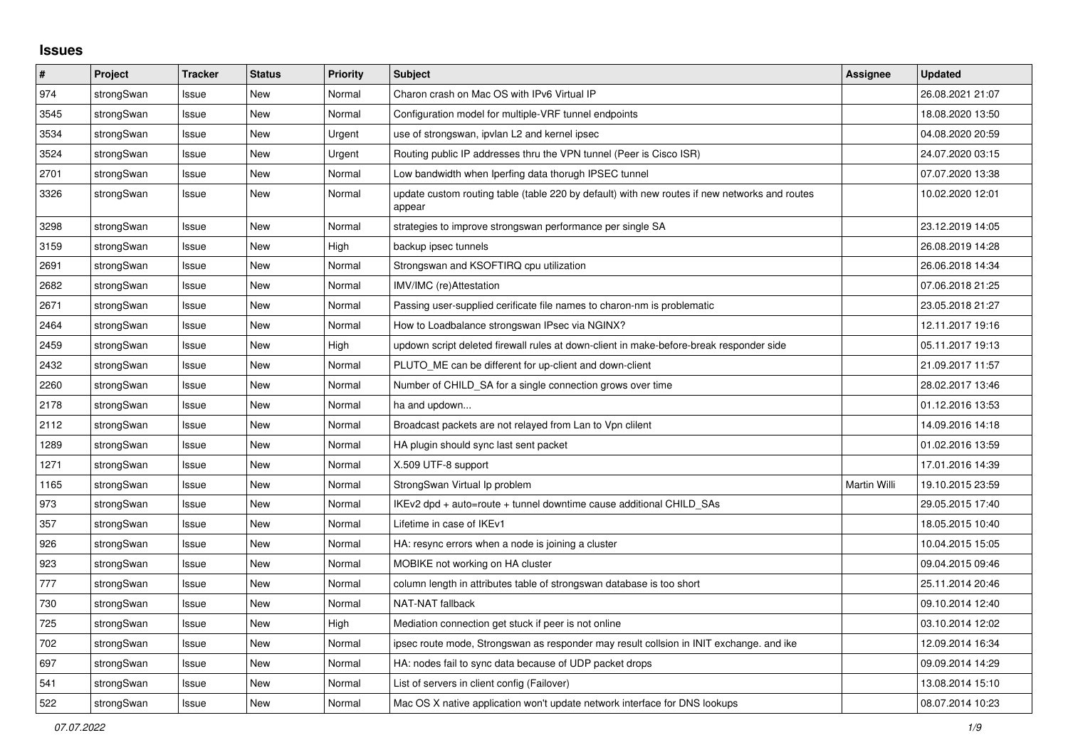## **Issues**

| #    | Project    | <b>Tracker</b> | <b>Status</b> | Priority | <b>Subject</b>                                                                                          | <b>Assignee</b> | <b>Updated</b>   |
|------|------------|----------------|---------------|----------|---------------------------------------------------------------------------------------------------------|-----------------|------------------|
| 974  | strongSwan | Issue          | <b>New</b>    | Normal   | Charon crash on Mac OS with IPv6 Virtual IP                                                             |                 | 26.08.2021 21:07 |
| 3545 | strongSwan | Issue          | <b>New</b>    | Normal   | Configuration model for multiple-VRF tunnel endpoints                                                   |                 | 18.08.2020 13:50 |
| 3534 | strongSwan | Issue          | <b>New</b>    | Urgent   | use of strongswan, ipvlan L2 and kernel ipsec                                                           |                 | 04.08.2020 20:59 |
| 3524 | strongSwan | Issue          | <b>New</b>    | Urgent   | Routing public IP addresses thru the VPN tunnel (Peer is Cisco ISR)                                     |                 | 24.07.2020 03:15 |
| 2701 | strongSwan | Issue          | <b>New</b>    | Normal   | Low bandwidth when Iperfing data thorugh IPSEC tunnel                                                   |                 | 07.07.2020 13:38 |
| 3326 | strongSwan | Issue          | <b>New</b>    | Normal   | update custom routing table (table 220 by default) with new routes if new networks and routes<br>appear |                 | 10.02.2020 12:01 |
| 3298 | strongSwan | Issue          | <b>New</b>    | Normal   | strategies to improve strongswan performance per single SA                                              |                 | 23.12.2019 14:05 |
| 3159 | strongSwan | Issue          | <b>New</b>    | High     | backup ipsec tunnels                                                                                    |                 | 26.08.2019 14:28 |
| 2691 | strongSwan | Issue          | New           | Normal   | Strongswan and KSOFTIRQ cpu utilization                                                                 |                 | 26.06.2018 14:34 |
| 2682 | strongSwan | Issue          | New           | Normal   | IMV/IMC (re)Attestation                                                                                 |                 | 07.06.2018 21:25 |
| 2671 | strongSwan | Issue          | <b>New</b>    | Normal   | Passing user-supplied cerificate file names to charon-nm is problematic                                 |                 | 23.05.2018 21:27 |
| 2464 | strongSwan | Issue          | <b>New</b>    | Normal   | How to Loadbalance strongswan IPsec via NGINX?                                                          |                 | 12.11.2017 19:16 |
| 2459 | strongSwan | Issue          | <b>New</b>    | High     | updown script deleted firewall rules at down-client in make-before-break responder side                 |                 | 05.11.2017 19:13 |
| 2432 | strongSwan | Issue          | <b>New</b>    | Normal   | PLUTO ME can be different for up-client and down-client                                                 |                 | 21.09.2017 11:57 |
| 2260 | strongSwan | Issue          | New           | Normal   | Number of CHILD_SA for a single connection grows over time                                              |                 | 28.02.2017 13:46 |
| 2178 | strongSwan | Issue          | <b>New</b>    | Normal   | ha and updown                                                                                           |                 | 01.12.2016 13:53 |
| 2112 | strongSwan | Issue          | <b>New</b>    | Normal   | Broadcast packets are not relayed from Lan to Vpn clilent                                               |                 | 14.09.2016 14:18 |
| 1289 | strongSwan | Issue          | <b>New</b>    | Normal   | HA plugin should sync last sent packet                                                                  |                 | 01.02.2016 13:59 |
| 1271 | strongSwan | Issue          | New           | Normal   | X.509 UTF-8 support                                                                                     |                 | 17.01.2016 14:39 |
| 1165 | strongSwan | Issue          | New           | Normal   | StrongSwan Virtual Ip problem                                                                           | Martin Willi    | 19.10.2015 23:59 |
| 973  | strongSwan | Issue          | <b>New</b>    | Normal   | IKEv2 dpd + auto=route + tunnel downtime cause additional CHILD_SAs                                     |                 | 29.05.2015 17:40 |
| 357  | strongSwan | Issue          | New           | Normal   | Lifetime in case of IKEv1                                                                               |                 | 18.05.2015 10:40 |
| 926  | strongSwan | Issue          | <b>New</b>    | Normal   | HA: resync errors when a node is joining a cluster                                                      |                 | 10.04.2015 15:05 |
| 923  | strongSwan | Issue          | New           | Normal   | MOBIKE not working on HA cluster                                                                        |                 | 09.04.2015 09:46 |
| 777  | strongSwan | Issue          | New           | Normal   | column length in attributes table of strongswan database is too short                                   |                 | 25.11.2014 20:46 |
| 730  | strongSwan | Issue          | New           | Normal   | NAT-NAT fallback                                                                                        |                 | 09.10.2014 12:40 |
| 725  | strongSwan | Issue          | <b>New</b>    | High     | Mediation connection get stuck if peer is not online                                                    |                 | 03.10.2014 12:02 |
| 702  | strongSwan | Issue          | <b>New</b>    | Normal   | ipsec route mode, Strongswan as responder may result collsion in INIT exchange. and ike                 |                 | 12.09.2014 16:34 |
| 697  | strongSwan | Issue          | New           | Normal   | HA: nodes fail to sync data because of UDP packet drops                                                 |                 | 09.09.2014 14:29 |
| 541  | strongSwan | Issue          | New           | Normal   | List of servers in client config (Failover)                                                             |                 | 13.08.2014 15:10 |
| 522  | strongSwan | Issue          | New           | Normal   | Mac OS X native application won't update network interface for DNS lookups                              |                 | 08.07.2014 10:23 |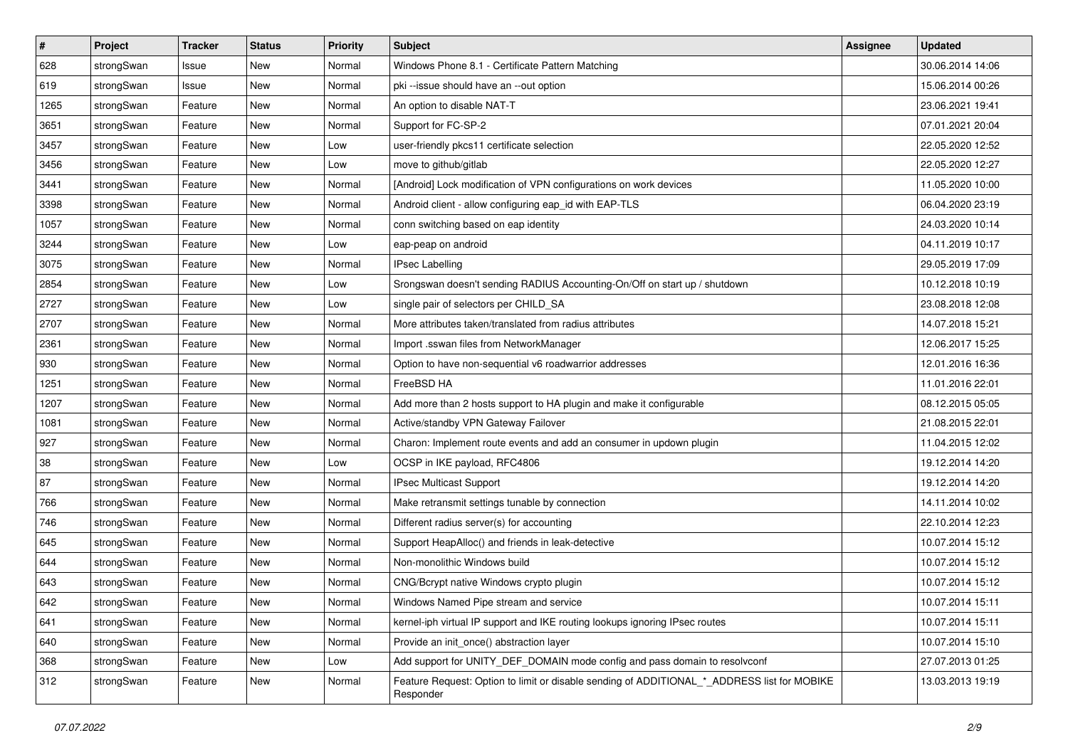| $\sharp$ | Project    | <b>Tracker</b> | <b>Status</b> | <b>Priority</b> | <b>Subject</b>                                                                                           | <b>Assignee</b> | <b>Updated</b>   |
|----------|------------|----------------|---------------|-----------------|----------------------------------------------------------------------------------------------------------|-----------------|------------------|
| 628      | strongSwan | Issue          | New           | Normal          | Windows Phone 8.1 - Certificate Pattern Matching                                                         |                 | 30.06.2014 14:06 |
| 619      | strongSwan | Issue          | <b>New</b>    | Normal          | pki --issue should have an --out option                                                                  |                 | 15.06.2014 00:26 |
| 1265     | strongSwan | Feature        | <b>New</b>    | Normal          | An option to disable NAT-T                                                                               |                 | 23.06.2021 19:41 |
| 3651     | strongSwan | Feature        | New           | Normal          | Support for FC-SP-2                                                                                      |                 | 07.01.2021 20:04 |
| 3457     | strongSwan | Feature        | <b>New</b>    | Low             | user-friendly pkcs11 certificate selection                                                               |                 | 22.05.2020 12:52 |
| 3456     | strongSwan | Feature        | <b>New</b>    | Low             | move to github/gitlab                                                                                    |                 | 22.05.2020 12:27 |
| 3441     | strongSwan | Feature        | New           | Normal          | [Android] Lock modification of VPN configurations on work devices                                        |                 | 11.05.2020 10:00 |
| 3398     | strongSwan | Feature        | New           | Normal          | Android client - allow configuring eap_id with EAP-TLS                                                   |                 | 06.04.2020 23:19 |
| 1057     | strongSwan | Feature        | <b>New</b>    | Normal          | conn switching based on eap identity                                                                     |                 | 24.03.2020 10:14 |
| 3244     | strongSwan | Feature        | New           | Low             | eap-peap on android                                                                                      |                 | 04.11.2019 10:17 |
| 3075     | strongSwan | Feature        | <b>New</b>    | Normal          | <b>IPsec Labelling</b>                                                                                   |                 | 29.05.2019 17:09 |
| 2854     | strongSwan | Feature        | New           | Low             | Srongswan doesn't sending RADIUS Accounting-On/Off on start up / shutdown                                |                 | 10.12.2018 10:19 |
| 2727     | strongSwan | Feature        | New           | Low             | single pair of selectors per CHILD_SA                                                                    |                 | 23.08.2018 12:08 |
| 2707     | strongSwan | Feature        | <b>New</b>    | Normal          | More attributes taken/translated from radius attributes                                                  |                 | 14.07.2018 15:21 |
| 2361     | strongSwan | Feature        | <b>New</b>    | Normal          | Import .sswan files from NetworkManager                                                                  |                 | 12.06.2017 15:25 |
| 930      | strongSwan | Feature        | New           | Normal          | Option to have non-sequential v6 roadwarrior addresses                                                   |                 | 12.01.2016 16:36 |
| 1251     | strongSwan | Feature        | <b>New</b>    | Normal          | FreeBSD HA                                                                                               |                 | 11.01.2016 22:01 |
| 1207     | strongSwan | Feature        | <b>New</b>    | Normal          | Add more than 2 hosts support to HA plugin and make it configurable                                      |                 | 08.12.2015 05:05 |
| 1081     | strongSwan | Feature        | New           | Normal          | Active/standby VPN Gateway Failover                                                                      |                 | 21.08.2015 22:01 |
| 927      | strongSwan | Feature        | New           | Normal          | Charon: Implement route events and add an consumer in updown plugin                                      |                 | 11.04.2015 12:02 |
| 38       | strongSwan | Feature        | New           | Low             | OCSP in IKE payload, RFC4806                                                                             |                 | 19.12.2014 14:20 |
| 87       | strongSwan | Feature        | <b>New</b>    | Normal          | IPsec Multicast Support                                                                                  |                 | 19.12.2014 14:20 |
| 766      | strongSwan | Feature        | <b>New</b>    | Normal          | Make retransmit settings tunable by connection                                                           |                 | 14.11.2014 10:02 |
| 746      | strongSwan | Feature        | <b>New</b>    | Normal          | Different radius server(s) for accounting                                                                |                 | 22.10.2014 12:23 |
| 645      | strongSwan | Feature        | <b>New</b>    | Normal          | Support HeapAlloc() and friends in leak-detective                                                        |                 | 10.07.2014 15:12 |
| 644      | strongSwan | Feature        | New           | Normal          | Non-monolithic Windows build                                                                             |                 | 10.07.2014 15:12 |
| 643      | strongSwan | Feature        | New           | Normal          | CNG/Bcrypt native Windows crypto plugin                                                                  |                 | 10.07.2014 15:12 |
| 642      | strongSwan | Feature        | New           | Normal          | Windows Named Pipe stream and service                                                                    |                 | 10.07.2014 15:11 |
| 641      | strongSwan | Feature        | New           | Normal          | kernel-iph virtual IP support and IKE routing lookups ignoring IPsec routes                              |                 | 10.07.2014 15:11 |
| 640      | strongSwan | Feature        | New           | Normal          | Provide an init once() abstraction layer                                                                 |                 | 10.07.2014 15:10 |
| 368      | strongSwan | Feature        | New           | Low             | Add support for UNITY_DEF_DOMAIN mode config and pass domain to resolvconf                               |                 | 27.07.2013 01:25 |
| 312      | strongSwan | Feature        | New           | Normal          | Feature Request: Option to limit or disable sending of ADDITIONAL *_ADDRESS list for MOBIKE<br>Responder |                 | 13.03.2013 19:19 |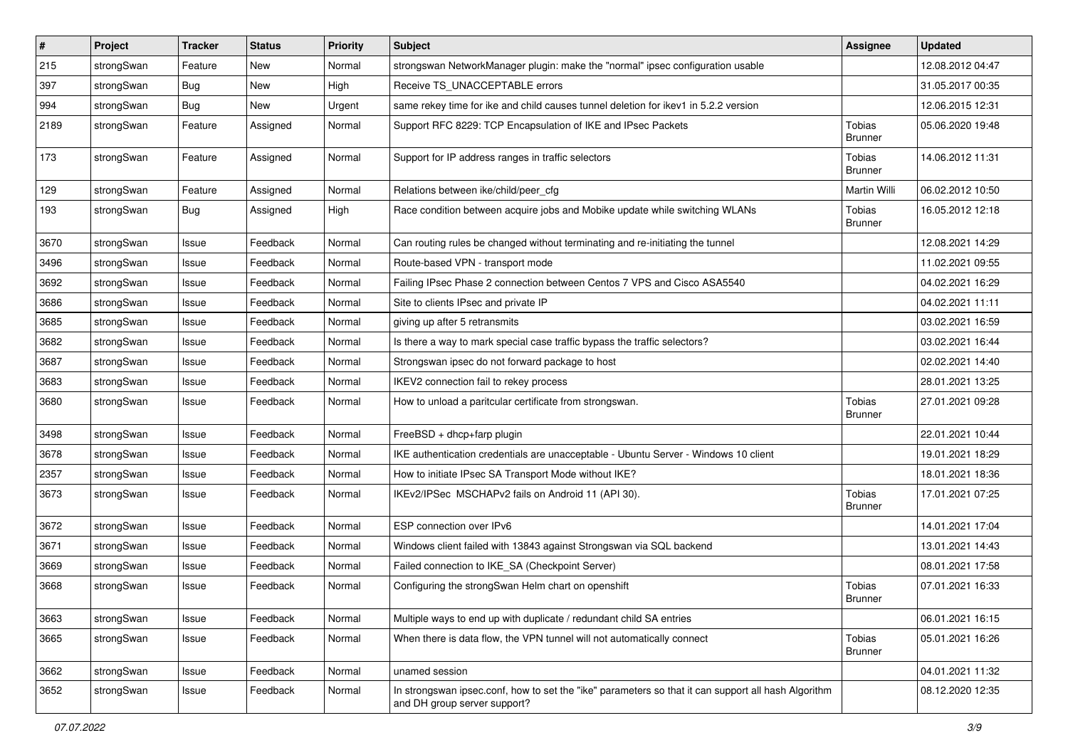| $\vert$ # | Project    | <b>Tracker</b> | <b>Status</b> | <b>Priority</b> | <b>Subject</b>                                                                                                                      | <b>Assignee</b>          | <b>Updated</b>   |
|-----------|------------|----------------|---------------|-----------------|-------------------------------------------------------------------------------------------------------------------------------------|--------------------------|------------------|
| 215       | strongSwan | Feature        | New           | Normal          | strongswan NetworkManager plugin: make the "normal" ipsec configuration usable                                                      |                          | 12.08.2012 04:47 |
| 397       | strongSwan | <b>Bug</b>     | <b>New</b>    | High            | Receive TS_UNACCEPTABLE errors                                                                                                      |                          | 31.05.2017 00:35 |
| 994       | strongSwan | Bug            | New           | Urgent          | same rekey time for ike and child causes tunnel deletion for ikey1 in 5.2.2 version                                                 |                          | 12.06.2015 12:31 |
| 2189      | strongSwan | Feature        | Assigned      | Normal          | Support RFC 8229: TCP Encapsulation of IKE and IPsec Packets                                                                        | Tobias<br><b>Brunner</b> | 05.06.2020 19:48 |
| 173       | strongSwan | Feature        | Assigned      | Normal          | Support for IP address ranges in traffic selectors                                                                                  | Tobias<br><b>Brunner</b> | 14.06.2012 11:31 |
| 129       | strongSwan | Feature        | Assigned      | Normal          | Relations between ike/child/peer_cfg                                                                                                | Martin Willi             | 06.02.2012 10:50 |
| 193       | strongSwan | Bug            | Assigned      | High            | Race condition between acquire jobs and Mobike update while switching WLANs                                                         | Tobias<br><b>Brunner</b> | 16.05.2012 12:18 |
| 3670      | strongSwan | Issue          | Feedback      | Normal          | Can routing rules be changed without terminating and re-initiating the tunnel                                                       |                          | 12.08.2021 14:29 |
| 3496      | strongSwan | Issue          | Feedback      | Normal          | Route-based VPN - transport mode                                                                                                    |                          | 11.02.2021 09:55 |
| 3692      | strongSwan | Issue          | Feedback      | Normal          | Failing IPsec Phase 2 connection between Centos 7 VPS and Cisco ASA5540                                                             |                          | 04.02.2021 16:29 |
| 3686      | strongSwan | Issue          | Feedback      | Normal          | Site to clients IPsec and private IP                                                                                                |                          | 04.02.2021 11:11 |
| 3685      | strongSwan | Issue          | Feedback      | Normal          | giving up after 5 retransmits                                                                                                       |                          | 03.02.2021 16:59 |
| 3682      | strongSwan | Issue          | Feedback      | Normal          | Is there a way to mark special case traffic bypass the traffic selectors?                                                           |                          | 03.02.2021 16:44 |
| 3687      | strongSwan | Issue          | Feedback      | Normal          | Strongswan ipsec do not forward package to host                                                                                     |                          | 02.02.2021 14:40 |
| 3683      | strongSwan | Issue          | Feedback      | Normal          | IKEV2 connection fail to rekey process                                                                                              |                          | 28.01.2021 13:25 |
| 3680      | strongSwan | Issue          | Feedback      | Normal          | How to unload a paritcular certificate from strongswan.                                                                             | Tobias<br><b>Brunner</b> | 27.01.2021 09:28 |
| 3498      | strongSwan | Issue          | Feedback      | Normal          | FreeBSD + dhcp+farp plugin                                                                                                          |                          | 22.01.2021 10:44 |
| 3678      | strongSwan | Issue          | Feedback      | Normal          | IKE authentication credentials are unacceptable - Ubuntu Server - Windows 10 client                                                 |                          | 19.01.2021 18:29 |
| 2357      | strongSwan | Issue          | Feedback      | Normal          | How to initiate IPsec SA Transport Mode without IKE?                                                                                |                          | 18.01.2021 18:36 |
| 3673      | strongSwan | Issue          | Feedback      | Normal          | IKEv2/IPSec MSCHAPv2 fails on Android 11 (API 30).                                                                                  | Tobias<br><b>Brunner</b> | 17.01.2021 07:25 |
| 3672      | strongSwan | Issue          | Feedback      | Normal          | ESP connection over IPv6                                                                                                            |                          | 14.01.2021 17:04 |
| 3671      | strongSwan | Issue          | Feedback      | Normal          | Windows client failed with 13843 against Strongswan via SQL backend                                                                 |                          | 13.01.2021 14:43 |
| 3669      | strongSwan | Issue          | Feedback      | Normal          | Failed connection to IKE_SA (Checkpoint Server)                                                                                     |                          | 08.01.2021 17:58 |
| 3668      | strongSwan | Issue          | Feedback      | Normal          | Configuring the strongSwan Helm chart on openshift                                                                                  | Tobias<br><b>Brunner</b> | 07.01.2021 16:33 |
| 3663      | strongSwan | Issue          | Feedback      | Normal          | Multiple ways to end up with duplicate / redundant child SA entries                                                                 |                          | 06.01.2021 16:15 |
| 3665      | strongSwan | Issue          | Feedback      | Normal          | When there is data flow, the VPN tunnel will not automatically connect                                                              | Tobias<br><b>Brunner</b> | 05.01.2021 16:26 |
| 3662      | strongSwan | Issue          | Feedback      | Normal          | unamed session                                                                                                                      |                          | 04.01.2021 11:32 |
| 3652      | strongSwan | Issue          | Feedback      | Normal          | In strongswan ipsec.conf, how to set the "ike" parameters so that it can support all hash Algorithm<br>and DH group server support? |                          | 08.12.2020 12:35 |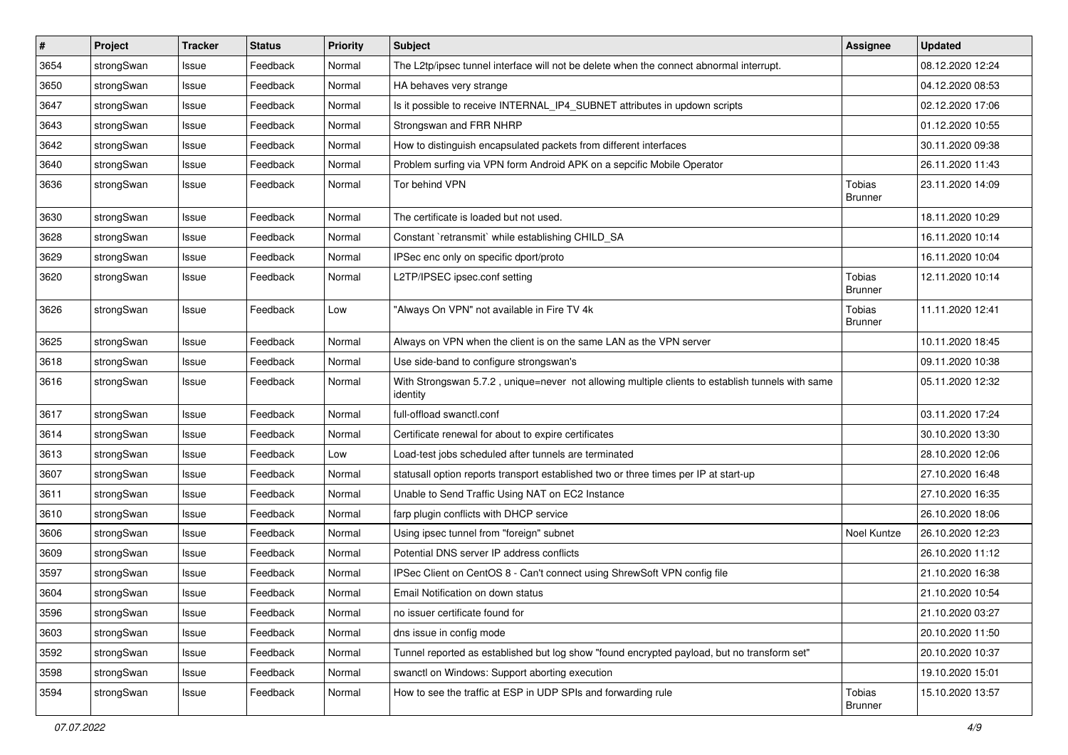| $\vert$ # | Project    | <b>Tracker</b> | <b>Status</b> | Priority | <b>Subject</b>                                                                                               | <b>Assignee</b>                 | <b>Updated</b>   |
|-----------|------------|----------------|---------------|----------|--------------------------------------------------------------------------------------------------------------|---------------------------------|------------------|
| 3654      | strongSwan | Issue          | Feedback      | Normal   | The L2tp/ipsec tunnel interface will not be delete when the connect abnormal interrupt.                      |                                 | 08.12.2020 12:24 |
| 3650      | strongSwan | Issue          | Feedback      | Normal   | HA behaves very strange                                                                                      |                                 | 04.12.2020 08:53 |
| 3647      | strongSwan | Issue          | Feedback      | Normal   | Is it possible to receive INTERNAL_IP4_SUBNET attributes in updown scripts                                   |                                 | 02.12.2020 17:06 |
| 3643      | strongSwan | Issue          | Feedback      | Normal   | Strongswan and FRR NHRP                                                                                      |                                 | 01.12.2020 10:55 |
| 3642      | strongSwan | Issue          | Feedback      | Normal   | How to distinguish encapsulated packets from different interfaces                                            |                                 | 30.11.2020 09:38 |
| 3640      | strongSwan | Issue          | Feedback      | Normal   | Problem surfing via VPN form Android APK on a sepcific Mobile Operator                                       |                                 | 26.11.2020 11:43 |
| 3636      | strongSwan | Issue          | Feedback      | Normal   | Tor behind VPN                                                                                               | <b>Tobias</b><br><b>Brunner</b> | 23.11.2020 14:09 |
| 3630      | strongSwan | Issue          | Feedback      | Normal   | The certificate is loaded but not used.                                                                      |                                 | 18.11.2020 10:29 |
| 3628      | strongSwan | Issue          | Feedback      | Normal   | Constant `retransmit` while establishing CHILD_SA                                                            |                                 | 16.11.2020 10:14 |
| 3629      | strongSwan | Issue          | Feedback      | Normal   | IPSec enc only on specific dport/proto                                                                       |                                 | 16.11.2020 10:04 |
| 3620      | strongSwan | Issue          | Feedback      | Normal   | L2TP/IPSEC ipsec.conf setting                                                                                | Tobias<br><b>Brunner</b>        | 12.11.2020 10:14 |
| 3626      | strongSwan | Issue          | Feedback      | Low      | "Always On VPN" not available in Fire TV 4k                                                                  | <b>Tobias</b><br><b>Brunner</b> | 11.11.2020 12:41 |
| 3625      | strongSwan | Issue          | Feedback      | Normal   | Always on VPN when the client is on the same LAN as the VPN server                                           |                                 | 10.11.2020 18:45 |
| 3618      | strongSwan | Issue          | Feedback      | Normal   | Use side-band to configure strongswan's                                                                      |                                 | 09.11.2020 10:38 |
| 3616      | strongSwan | Issue          | Feedback      | Normal   | With Strongswan 5.7.2, unique=never not allowing multiple clients to establish tunnels with same<br>identity |                                 | 05.11.2020 12:32 |
| 3617      | strongSwan | Issue          | Feedback      | Normal   | full-offload swanctl.conf                                                                                    |                                 | 03.11.2020 17:24 |
| 3614      | strongSwan | Issue          | Feedback      | Normal   | Certificate renewal for about to expire certificates                                                         |                                 | 30.10.2020 13:30 |
| 3613      | strongSwan | Issue          | Feedback      | Low      | Load-test jobs scheduled after tunnels are terminated                                                        |                                 | 28.10.2020 12:06 |
| 3607      | strongSwan | Issue          | Feedback      | Normal   | statusall option reports transport established two or three times per IP at start-up                         |                                 | 27.10.2020 16:48 |
| 3611      | strongSwan | Issue          | Feedback      | Normal   | Unable to Send Traffic Using NAT on EC2 Instance                                                             |                                 | 27.10.2020 16:35 |
| 3610      | strongSwan | Issue          | Feedback      | Normal   | farp plugin conflicts with DHCP service                                                                      |                                 | 26.10.2020 18:06 |
| 3606      | strongSwan | Issue          | Feedback      | Normal   | Using ipsec tunnel from "foreign" subnet                                                                     | Noel Kuntze                     | 26.10.2020 12:23 |
| 3609      | strongSwan | Issue          | Feedback      | Normal   | Potential DNS server IP address conflicts                                                                    |                                 | 26.10.2020 11:12 |
| 3597      | strongSwan | Issue          | Feedback      | Normal   | IPSec Client on CentOS 8 - Can't connect using ShrewSoft VPN config file                                     |                                 | 21.10.2020 16:38 |
| 3604      | strongSwan | Issue          | Feedback      | Normal   | Email Notification on down status                                                                            |                                 | 21.10.2020 10:54 |
| 3596      | strongSwan | Issue          | Feedback      | Normal   | no issuer certificate found for                                                                              |                                 | 21.10.2020 03:27 |
| 3603      | strongSwan | Issue          | Feedback      | Normal   | dns issue in config mode                                                                                     |                                 | 20.10.2020 11:50 |
| 3592      | strongSwan | Issue          | Feedback      | Normal   | Tunnel reported as established but log show "found encrypted payload, but no transform set"                  |                                 | 20.10.2020 10:37 |
| 3598      | strongSwan | Issue          | Feedback      | Normal   | swanctl on Windows: Support aborting execution                                                               |                                 | 19.10.2020 15:01 |
| 3594      | strongSwan | Issue          | Feedback      | Normal   | How to see the traffic at ESP in UDP SPIs and forwarding rule                                                | Tobias<br><b>Brunner</b>        | 15.10.2020 13:57 |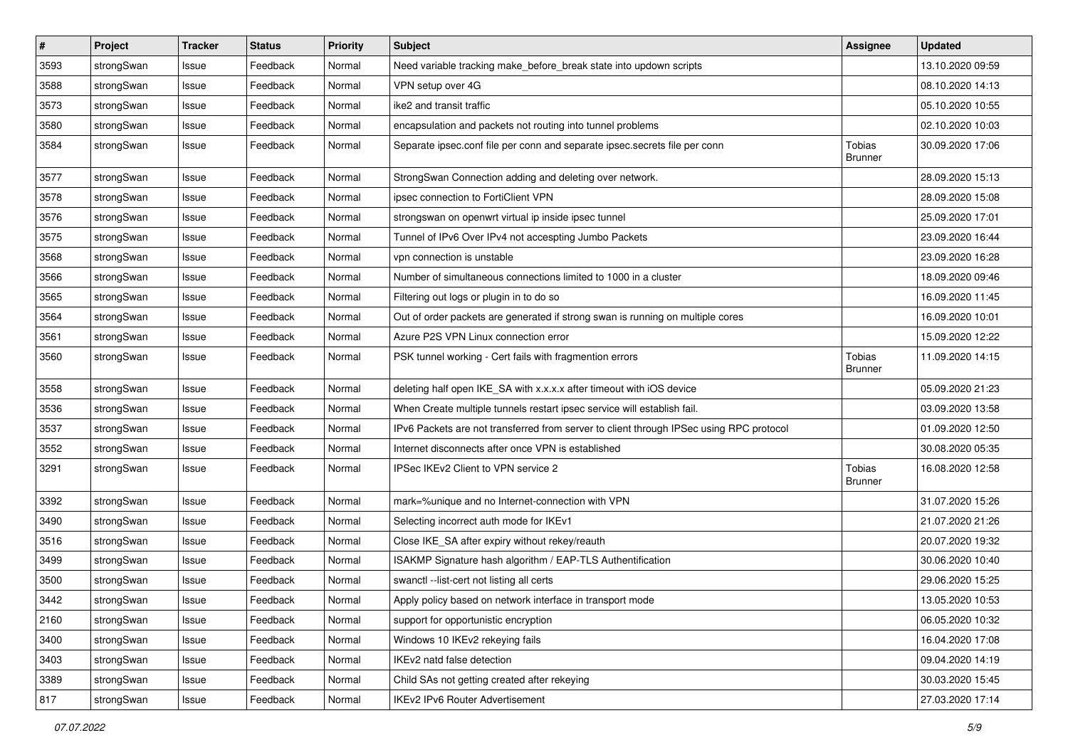| $\pmb{\#}$ | Project    | <b>Tracker</b> | <b>Status</b> | <b>Priority</b> | <b>Subject</b>                                                                          | <b>Assignee</b>                 | <b>Updated</b>   |
|------------|------------|----------------|---------------|-----------------|-----------------------------------------------------------------------------------------|---------------------------------|------------------|
| 3593       | strongSwan | Issue          | Feedback      | Normal          | Need variable tracking make_before_break state into updown scripts                      |                                 | 13.10.2020 09:59 |
| 3588       | strongSwan | Issue          | Feedback      | Normal          | VPN setup over 4G                                                                       |                                 | 08.10.2020 14:13 |
| 3573       | strongSwan | Issue          | Feedback      | Normal          | ike2 and transit traffic                                                                |                                 | 05.10.2020 10:55 |
| 3580       | strongSwan | Issue          | Feedback      | Normal          | encapsulation and packets not routing into tunnel problems                              |                                 | 02.10.2020 10:03 |
| 3584       | strongSwan | Issue          | Feedback      | Normal          | Separate ipsec.conf file per conn and separate ipsec.secrets file per conn              | Tobias<br><b>Brunner</b>        | 30.09.2020 17:06 |
| 3577       | strongSwan | Issue          | Feedback      | Normal          | StrongSwan Connection adding and deleting over network.                                 |                                 | 28.09.2020 15:13 |
| 3578       | strongSwan | Issue          | Feedback      | Normal          | ipsec connection to FortiClient VPN                                                     |                                 | 28.09.2020 15:08 |
| 3576       | strongSwan | Issue          | Feedback      | Normal          | strongswan on openwrt virtual ip inside ipsec tunnel                                    |                                 | 25.09.2020 17:01 |
| 3575       | strongSwan | Issue          | Feedback      | Normal          | Tunnel of IPv6 Over IPv4 not accespting Jumbo Packets                                   |                                 | 23.09.2020 16:44 |
| 3568       | strongSwan | Issue          | Feedback      | Normal          | vpn connection is unstable                                                              |                                 | 23.09.2020 16:28 |
| 3566       | strongSwan | Issue          | Feedback      | Normal          | Number of simultaneous connections limited to 1000 in a cluster                         |                                 | 18.09.2020 09:46 |
| 3565       | strongSwan | Issue          | Feedback      | Normal          | Filtering out logs or plugin in to do so                                                |                                 | 16.09.2020 11:45 |
| 3564       | strongSwan | Issue          | Feedback      | Normal          | Out of order packets are generated if strong swan is running on multiple cores          |                                 | 16.09.2020 10:01 |
| 3561       | strongSwan | Issue          | Feedback      | Normal          | Azure P2S VPN Linux connection error                                                    |                                 | 15.09.2020 12:22 |
| 3560       | strongSwan | Issue          | Feedback      | Normal          | PSK tunnel working - Cert fails with fragmention errors                                 | <b>Tobias</b><br><b>Brunner</b> | 11.09.2020 14:15 |
| 3558       | strongSwan | Issue          | Feedback      | Normal          | deleting half open IKE_SA with x.x.x.x after timeout with iOS device                    |                                 | 05.09.2020 21:23 |
| 3536       | strongSwan | Issue          | Feedback      | Normal          | When Create multiple tunnels restart ipsec service will establish fail.                 |                                 | 03.09.2020 13:58 |
| 3537       | strongSwan | Issue          | Feedback      | Normal          | IPv6 Packets are not transferred from server to client through IPSec using RPC protocol |                                 | 01.09.2020 12:50 |
| 3552       | strongSwan | Issue          | Feedback      | Normal          | Internet disconnects after once VPN is established                                      |                                 | 30.08.2020 05:35 |
| 3291       | strongSwan | Issue          | Feedback      | Normal          | IPSec IKEv2 Client to VPN service 2                                                     | Tobias<br><b>Brunner</b>        | 16.08.2020 12:58 |
| 3392       | strongSwan | Issue          | Feedback      | Normal          | mark=%unique and no Internet-connection with VPN                                        |                                 | 31.07.2020 15:26 |
| 3490       | strongSwan | Issue          | Feedback      | Normal          | Selecting incorrect auth mode for IKEv1                                                 |                                 | 21.07.2020 21:26 |
| 3516       | strongSwan | Issue          | Feedback      | Normal          | Close IKE_SA after expiry without rekey/reauth                                          |                                 | 20.07.2020 19:32 |
| 3499       | strongSwan | Issue          | Feedback      | Normal          | ISAKMP Signature hash algorithm / EAP-TLS Authentification                              |                                 | 30.06.2020 10:40 |
| 3500       | strongSwan | Issue          | Feedback      | Normal          | swanctl --list-cert not listing all certs                                               |                                 | 29.06.2020 15:25 |
| 3442       | strongSwan | Issue          | Feedback      | Normal          | Apply policy based on network interface in transport mode                               |                                 | 13.05.2020 10:53 |
| 2160       | strongSwan | Issue          | Feedback      | Normal          | support for opportunistic encryption                                                    |                                 | 06.05.2020 10:32 |
| 3400       | strongSwan | Issue          | Feedback      | Normal          | Windows 10 IKEv2 rekeying fails                                                         |                                 | 16.04.2020 17:08 |
| 3403       | strongSwan | Issue          | Feedback      | Normal          | IKEv2 natd false detection                                                              |                                 | 09.04.2020 14:19 |
| 3389       | strongSwan | Issue          | Feedback      | Normal          | Child SAs not getting created after rekeying                                            |                                 | 30.03.2020 15:45 |
| 817        | strongSwan | Issue          | Feedback      | Normal          | IKEv2 IPv6 Router Advertisement                                                         |                                 | 27.03.2020 17:14 |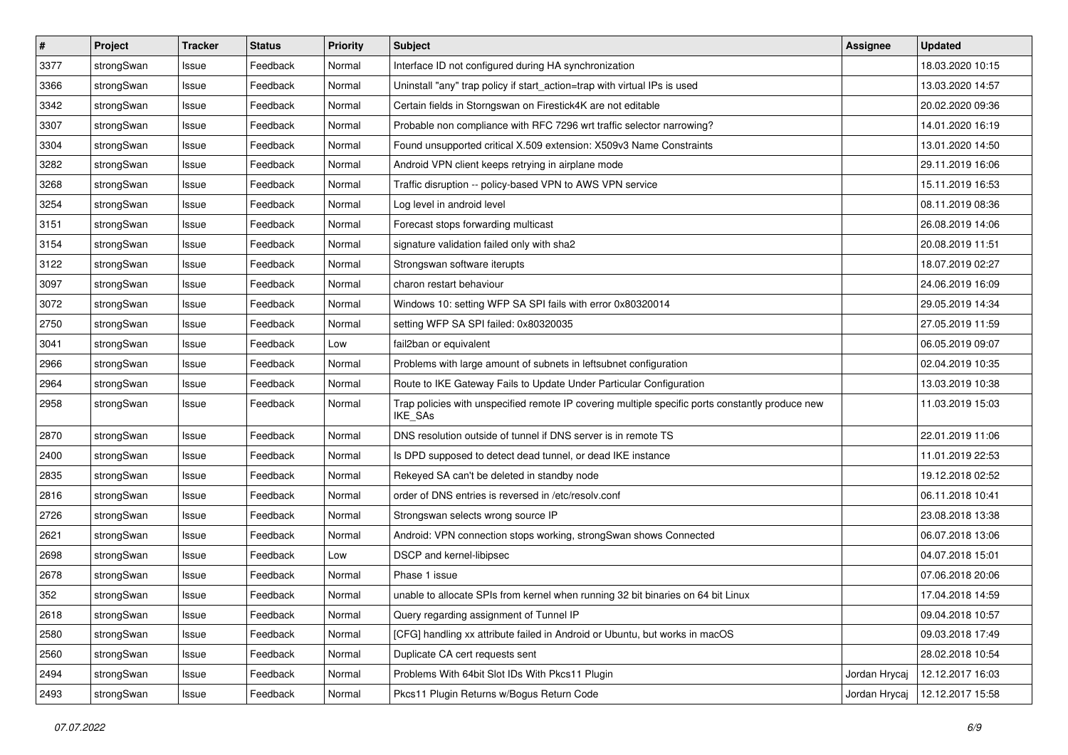| $\pmb{\#}$ | Project    | <b>Tracker</b> | <b>Status</b> | <b>Priority</b> | <b>Subject</b>                                                                                              | Assignee      | <b>Updated</b>   |
|------------|------------|----------------|---------------|-----------------|-------------------------------------------------------------------------------------------------------------|---------------|------------------|
| 3377       | strongSwan | Issue          | Feedback      | Normal          | Interface ID not configured during HA synchronization                                                       |               | 18.03.2020 10:15 |
| 3366       | strongSwan | Issue          | Feedback      | Normal          | Uninstall "any" trap policy if start_action=trap with virtual IPs is used                                   |               | 13.03.2020 14:57 |
| 3342       | strongSwan | Issue          | Feedback      | Normal          | Certain fields in Storngswan on Firestick4K are not editable                                                |               | 20.02.2020 09:36 |
| 3307       | strongSwan | Issue          | Feedback      | Normal          | Probable non compliance with RFC 7296 wrt traffic selector narrowing?                                       |               | 14.01.2020 16:19 |
| 3304       | strongSwan | Issue          | Feedback      | Normal          | Found unsupported critical X.509 extension: X509v3 Name Constraints                                         |               | 13.01.2020 14:50 |
| 3282       | strongSwan | Issue          | Feedback      | Normal          | Android VPN client keeps retrying in airplane mode                                                          |               | 29.11.2019 16:06 |
| 3268       | strongSwan | Issue          | Feedback      | Normal          | Traffic disruption -- policy-based VPN to AWS VPN service                                                   |               | 15.11.2019 16:53 |
| 3254       | strongSwan | Issue          | Feedback      | Normal          | Log level in android level                                                                                  |               | 08.11.2019 08:36 |
| 3151       | strongSwan | Issue          | Feedback      | Normal          | Forecast stops forwarding multicast                                                                         |               | 26.08.2019 14:06 |
| 3154       | strongSwan | lssue          | Feedback      | Normal          | signature validation failed only with sha2                                                                  |               | 20.08.2019 11:51 |
| 3122       | strongSwan | Issue          | Feedback      | Normal          | Strongswan software iterupts                                                                                |               | 18.07.2019 02:27 |
| 3097       | strongSwan | Issue          | Feedback      | Normal          | charon restart behaviour                                                                                    |               | 24.06.2019 16:09 |
| 3072       | strongSwan | Issue          | Feedback      | Normal          | Windows 10: setting WFP SA SPI fails with error 0x80320014                                                  |               | 29.05.2019 14:34 |
| 2750       | strongSwan | Issue          | Feedback      | Normal          | setting WFP SA SPI failed: 0x80320035                                                                       |               | 27.05.2019 11:59 |
| 3041       | strongSwan | Issue          | Feedback      | Low             | fail2ban or equivalent                                                                                      |               | 06.05.2019 09:07 |
| 2966       | strongSwan | Issue          | Feedback      | Normal          | Problems with large amount of subnets in leftsubnet configuration                                           |               | 02.04.2019 10:35 |
| 2964       | strongSwan | Issue          | Feedback      | Normal          | Route to IKE Gateway Fails to Update Under Particular Configuration                                         |               | 13.03.2019 10:38 |
| 2958       | strongSwan | Issue          | Feedback      | Normal          | Trap policies with unspecified remote IP covering multiple specific ports constantly produce new<br>IKE_SAs |               | 11.03.2019 15:03 |
| 2870       | strongSwan | Issue          | Feedback      | Normal          | DNS resolution outside of tunnel if DNS server is in remote TS                                              |               | 22.01.2019 11:06 |
| 2400       | strongSwan | Issue          | Feedback      | Normal          | Is DPD supposed to detect dead tunnel, or dead IKE instance                                                 |               | 11.01.2019 22:53 |
| 2835       | strongSwan | Issue          | Feedback      | Normal          | Rekeyed SA can't be deleted in standby node                                                                 |               | 19.12.2018 02:52 |
| 2816       | strongSwan | Issue          | Feedback      | Normal          | order of DNS entries is reversed in /etc/resolv.conf                                                        |               | 06.11.2018 10:41 |
| 2726       | strongSwan | Issue          | Feedback      | Normal          | Strongswan selects wrong source IP                                                                          |               | 23.08.2018 13:38 |
| 2621       | strongSwan | Issue          | Feedback      | Normal          | Android: VPN connection stops working, strongSwan shows Connected                                           |               | 06.07.2018 13:06 |
| 2698       | strongSwan | Issue          | Feedback      | Low             | DSCP and kernel-libipsec                                                                                    |               | 04.07.2018 15:01 |
| 2678       | strongSwan | Issue          | Feedback      | Normal          | Phase 1 issue                                                                                               |               | 07.06.2018 20:06 |
| 352        | strongSwan | Issue          | Feedback      | Normal          | unable to allocate SPIs from kernel when running 32 bit binaries on 64 bit Linux                            |               | 17.04.2018 14:59 |
| 2618       | strongSwan | Issue          | Feedback      | Normal          | Query regarding assignment of Tunnel IP                                                                     |               | 09.04.2018 10:57 |
| 2580       | strongSwan | Issue          | Feedback      | Normal          | [CFG] handling xx attribute failed in Android or Ubuntu, but works in macOS                                 |               | 09.03.2018 17:49 |
| 2560       | strongSwan | Issue          | Feedback      | Normal          | Duplicate CA cert requests sent                                                                             |               | 28.02.2018 10:54 |
| 2494       | strongSwan | Issue          | Feedback      | Normal          | Problems With 64bit Slot IDs With Pkcs11 Plugin                                                             | Jordan Hrycaj | 12.12.2017 16:03 |
| 2493       | strongSwan | Issue          | Feedback      | Normal          | Pkcs11 Plugin Returns w/Bogus Return Code                                                                   | Jordan Hrycaj | 12.12.2017 15:58 |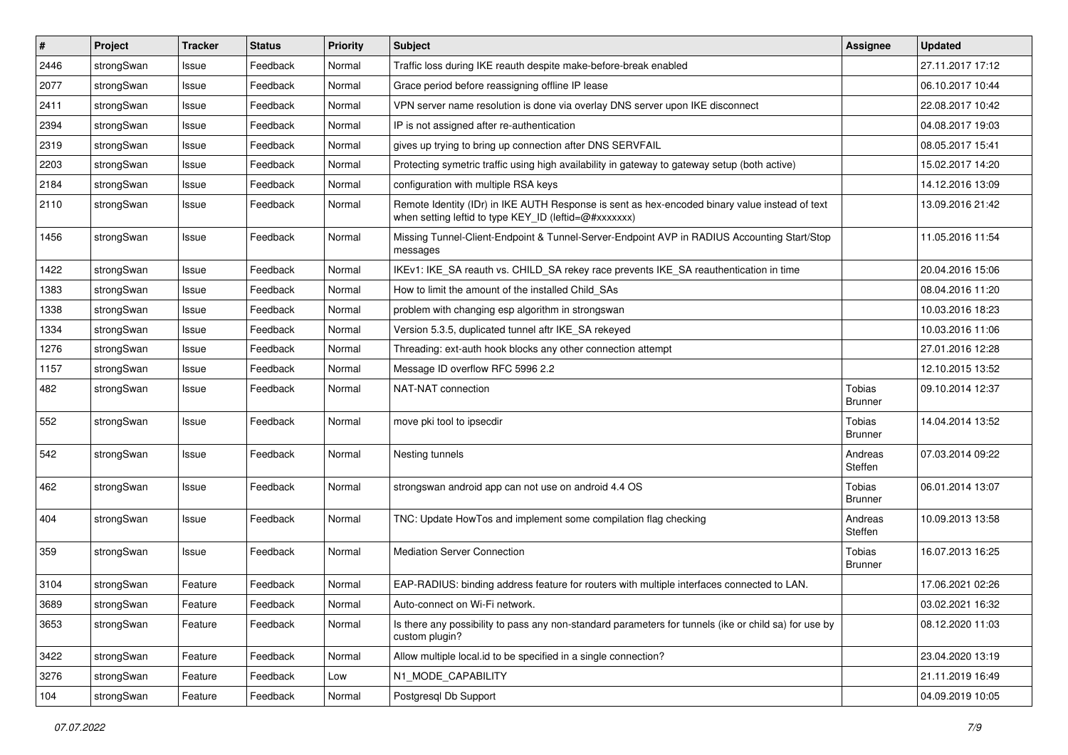| $\vert$ # | Project    | <b>Tracker</b> | <b>Status</b> | <b>Priority</b> | <b>Subject</b>                                                                                                                                          | <b>Assignee</b>          | <b>Updated</b>   |
|-----------|------------|----------------|---------------|-----------------|---------------------------------------------------------------------------------------------------------------------------------------------------------|--------------------------|------------------|
| 2446      | strongSwan | Issue          | Feedback      | Normal          | Traffic loss during IKE reauth despite make-before-break enabled                                                                                        |                          | 27.11.2017 17:12 |
| 2077      | strongSwan | Issue          | Feedback      | Normal          | Grace period before reassigning offline IP lease                                                                                                        |                          | 06.10.2017 10:44 |
| 2411      | strongSwan | Issue          | Feedback      | Normal          | VPN server name resolution is done via overlay DNS server upon IKE disconnect                                                                           |                          | 22.08.2017 10:42 |
| 2394      | strongSwan | Issue          | Feedback      | Normal          | IP is not assigned after re-authentication                                                                                                              |                          | 04.08.2017 19:03 |
| 2319      | strongSwan | Issue          | Feedback      | Normal          | gives up trying to bring up connection after DNS SERVFAIL                                                                                               |                          | 08.05.2017 15:41 |
| 2203      | strongSwan | Issue          | Feedback      | Normal          | Protecting symetric traffic using high availability in gateway to gateway setup (both active)                                                           |                          | 15.02.2017 14:20 |
| 2184      | strongSwan | Issue          | Feedback      | Normal          | configuration with multiple RSA keys                                                                                                                    |                          | 14.12.2016 13:09 |
| 2110      | strongSwan | Issue          | Feedback      | Normal          | Remote Identity (IDr) in IKE AUTH Response is sent as hex-encoded binary value instead of text<br>when setting leftid to type KEY_ID (leftid=@#xxxxxxx) |                          | 13.09.2016 21:42 |
| 1456      | strongSwan | Issue          | Feedback      | Normal          | Missing Tunnel-Client-Endpoint & Tunnel-Server-Endpoint AVP in RADIUS Accounting Start/Stop<br>messages                                                 |                          | 11.05.2016 11:54 |
| 1422      | strongSwan | Issue          | Feedback      | Normal          | IKEv1: IKE_SA reauth vs. CHILD_SA rekey race prevents IKE_SA reauthentication in time                                                                   |                          | 20.04.2016 15:06 |
| 1383      | strongSwan | Issue          | Feedback      | Normal          | How to limit the amount of the installed Child_SAs                                                                                                      |                          | 08.04.2016 11:20 |
| 1338      | strongSwan | Issue          | Feedback      | Normal          | problem with changing esp algorithm in strongswan                                                                                                       |                          | 10.03.2016 18:23 |
| 1334      | strongSwan | Issue          | Feedback      | Normal          | Version 5.3.5, duplicated tunnel aftr IKE_SA rekeyed                                                                                                    |                          | 10.03.2016 11:06 |
| 1276      | strongSwan | Issue          | Feedback      | Normal          | Threading: ext-auth hook blocks any other connection attempt                                                                                            |                          | 27.01.2016 12:28 |
| 1157      | strongSwan | Issue          | Feedback      | Normal          | Message ID overflow RFC 5996 2.2                                                                                                                        |                          | 12.10.2015 13:52 |
| 482       | strongSwan | Issue          | Feedback      | Normal          | NAT-NAT connection                                                                                                                                      | Tobias<br><b>Brunner</b> | 09.10.2014 12:37 |
| 552       | strongSwan | Issue          | Feedback      | Normal          | move pki tool to ipsecdir                                                                                                                               | Tobias<br><b>Brunner</b> | 14.04.2014 13:52 |
| 542       | strongSwan | Issue          | Feedback      | Normal          | Nesting tunnels                                                                                                                                         | Andreas<br>Steffen       | 07.03.2014 09:22 |
| 462       | strongSwan | Issue          | Feedback      | Normal          | strongswan android app can not use on android 4.4 OS                                                                                                    | Tobias<br><b>Brunner</b> | 06.01.2014 13:07 |
| 404       | strongSwan | Issue          | Feedback      | Normal          | TNC: Update HowTos and implement some compilation flag checking                                                                                         | Andreas<br>Steffen       | 10.09.2013 13:58 |
| 359       | strongSwan | Issue          | Feedback      | Normal          | Mediation Server Connection                                                                                                                             | Tobias<br><b>Brunner</b> | 16.07.2013 16:25 |
| 3104      | strongSwan | Feature        | Feedback      | Normal          | EAP-RADIUS: binding address feature for routers with multiple interfaces connected to LAN.                                                              |                          | 17.06.2021 02:26 |
| 3689      | strongSwan | Feature        | Feedback      | Normal          | Auto-connect on Wi-Fi network.                                                                                                                          |                          | 03.02.2021 16:32 |
| 3653      | strongSwan | Feature        | Feedback      | Normal          | Is there any possibility to pass any non-standard parameters for tunnels (ike or child sa) for use by<br>custom plugin?                                 |                          | 08.12.2020 11:03 |
| 3422      | strongSwan | Feature        | Feedback      | Normal          | Allow multiple local.id to be specified in a single connection?                                                                                         |                          | 23.04.2020 13:19 |
| 3276      | strongSwan | Feature        | Feedback      | Low             | N1_MODE_CAPABILITY                                                                                                                                      |                          | 21.11.2019 16:49 |
| 104       | strongSwan | Feature        | Feedback      | Normal          | Postgresgl Db Support                                                                                                                                   |                          | 04.09.2019 10:05 |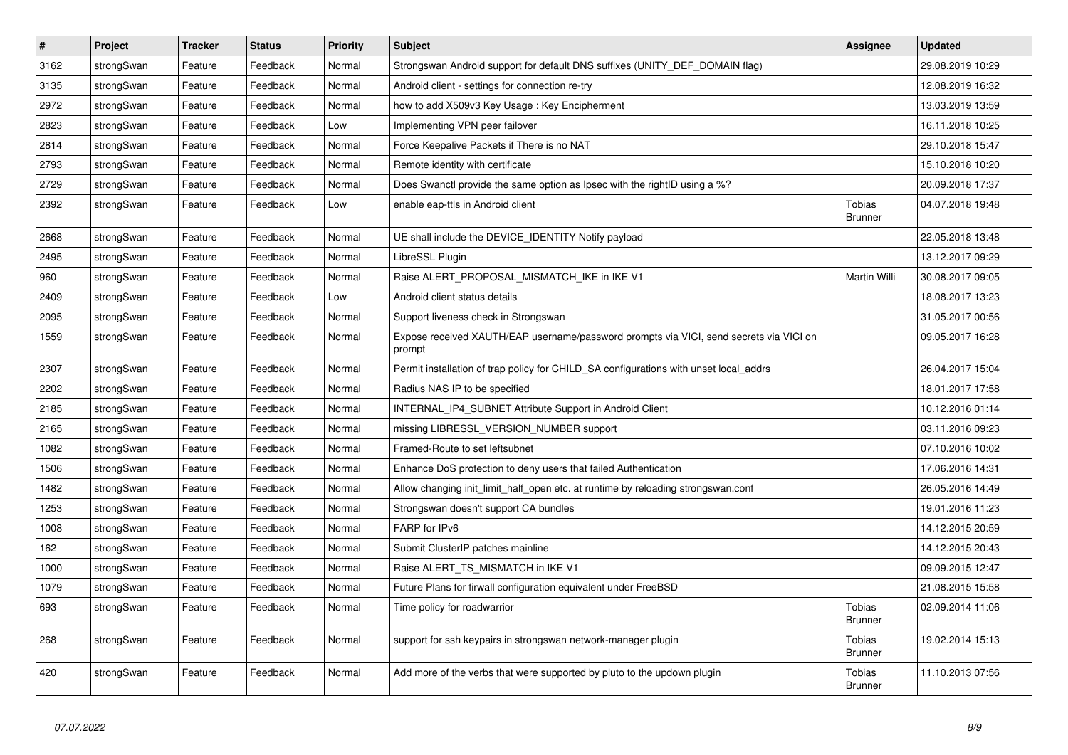| $\pmb{\#}$ | Project    | <b>Tracker</b> | <b>Status</b> | <b>Priority</b> | <b>Subject</b>                                                                                   | <b>Assignee</b>                 | <b>Updated</b>   |
|------------|------------|----------------|---------------|-----------------|--------------------------------------------------------------------------------------------------|---------------------------------|------------------|
| 3162       | strongSwan | Feature        | Feedback      | Normal          | Strongswan Android support for default DNS suffixes (UNITY DEF DOMAIN flag)                      |                                 | 29.08.2019 10:29 |
| 3135       | strongSwan | Feature        | Feedback      | Normal          | Android client - settings for connection re-try                                                  |                                 | 12.08.2019 16:32 |
| 2972       | strongSwan | Feature        | Feedback      | Normal          | how to add X509v3 Key Usage: Key Encipherment                                                    |                                 | 13.03.2019 13:59 |
| 2823       | strongSwan | Feature        | Feedback      | Low             | Implementing VPN peer failover                                                                   |                                 | 16.11.2018 10:25 |
| 2814       | strongSwan | Feature        | Feedback      | Normal          | Force Keepalive Packets if There is no NAT                                                       |                                 | 29.10.2018 15:47 |
| 2793       | strongSwan | Feature        | Feedback      | Normal          | Remote identity with certificate                                                                 |                                 | 15.10.2018 10:20 |
| 2729       | strongSwan | Feature        | Feedback      | Normal          | Does Swanctl provide the same option as Ipsec with the rightID using a %?                        |                                 | 20.09.2018 17:37 |
| 2392       | strongSwan | Feature        | Feedback      | Low             | enable eap-ttls in Android client                                                                | <b>Tobias</b><br><b>Brunner</b> | 04.07.2018 19:48 |
| 2668       | strongSwan | Feature        | Feedback      | Normal          | UE shall include the DEVICE_IDENTITY Notify payload                                              |                                 | 22.05.2018 13:48 |
| 2495       | strongSwan | Feature        | Feedback      | Normal          | LibreSSL Plugin                                                                                  |                                 | 13.12.2017 09:29 |
| 960        | strongSwan | Feature        | Feedback      | Normal          | Raise ALERT PROPOSAL MISMATCH IKE in IKE V1                                                      | Martin Willi                    | 30.08.2017 09:05 |
| 2409       | strongSwan | Feature        | Feedback      | Low             | Android client status details                                                                    |                                 | 18.08.2017 13:23 |
| 2095       | strongSwan | Feature        | Feedback      | Normal          | Support liveness check in Strongswan                                                             |                                 | 31.05.2017 00:56 |
| 1559       | strongSwan | Feature        | Feedback      | Normal          | Expose received XAUTH/EAP username/password prompts via VICI, send secrets via VICI on<br>prompt |                                 | 09.05.2017 16:28 |
| 2307       | strongSwan | Feature        | Feedback      | Normal          | Permit installation of trap policy for CHILD_SA configurations with unset local_addrs            |                                 | 26.04.2017 15:04 |
| 2202       | strongSwan | Feature        | Feedback      | Normal          | Radius NAS IP to be specified                                                                    |                                 | 18.01.2017 17:58 |
| 2185       | strongSwan | Feature        | Feedback      | Normal          | INTERNAL_IP4_SUBNET Attribute Support in Android Client                                          |                                 | 10.12.2016 01:14 |
| 2165       | strongSwan | Feature        | Feedback      | Normal          | missing LIBRESSL_VERSION_NUMBER support                                                          |                                 | 03.11.2016 09:23 |
| 1082       | strongSwan | Feature        | Feedback      | Normal          | Framed-Route to set leftsubnet                                                                   |                                 | 07.10.2016 10:02 |
| 1506       | strongSwan | Feature        | Feedback      | Normal          | Enhance DoS protection to deny users that failed Authentication                                  |                                 | 17.06.2016 14:31 |
| 1482       | strongSwan | Feature        | Feedback      | Normal          | Allow changing init_limit_half_open etc. at runtime by reloading strongswan.conf                 |                                 | 26.05.2016 14:49 |
| 1253       | strongSwan | Feature        | Feedback      | Normal          | Strongswan doesn't support CA bundles                                                            |                                 | 19.01.2016 11:23 |
| 1008       | strongSwan | Feature        | Feedback      | Normal          | FARP for IPv6                                                                                    |                                 | 14.12.2015 20:59 |
| 162        | strongSwan | Feature        | Feedback      | Normal          | Submit ClusterIP patches mainline                                                                |                                 | 14.12.2015 20:43 |
| 1000       | strongSwan | Feature        | Feedback      | Normal          | Raise ALERT TS MISMATCH in IKE V1                                                                |                                 | 09.09.2015 12:47 |
| 1079       | strongSwan | Feature        | Feedback      | Normal          | Future Plans for firwall configuration equivalent under FreeBSD                                  |                                 | 21.08.2015 15:58 |
| 693        | strongSwan | Feature        | Feedback      | Normal          | Time policy for roadwarrior                                                                      | Tobias<br><b>Brunner</b>        | 02.09.2014 11:06 |
| 268        | strongSwan | Feature        | Feedback      | Normal          | support for ssh keypairs in strongswan network-manager plugin                                    | <b>Tobias</b><br><b>Brunner</b> | 19.02.2014 15:13 |
| 420        | strongSwan | Feature        | Feedback      | Normal          | Add more of the verbs that were supported by pluto to the updown plugin                          | Tobias<br><b>Brunner</b>        | 11.10.2013 07:56 |